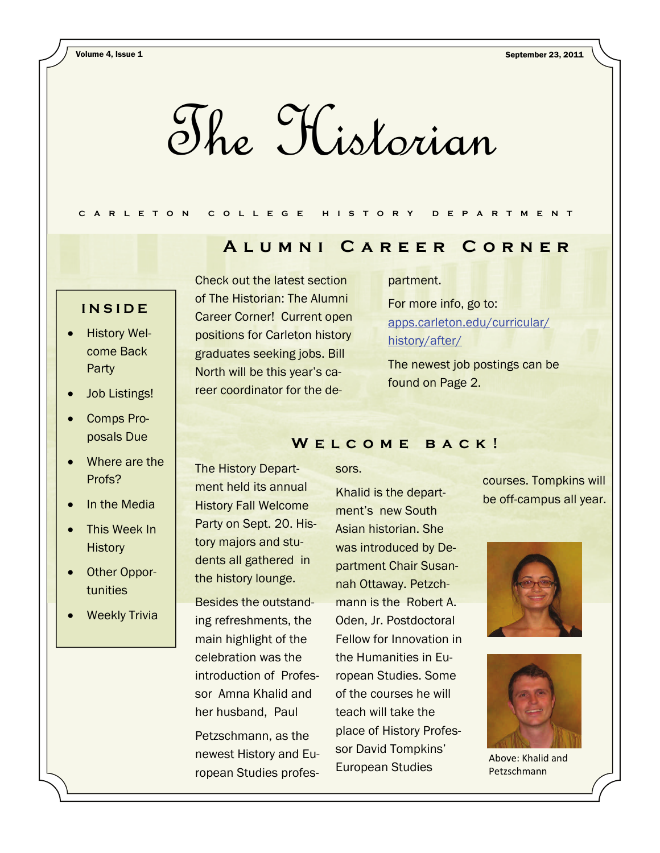The Historian

## **CARLETON COLLEGE HISTORY DEPARTMENT**

# **Alumni Career Corner**

## **INSIDE**

- History Welcome Back Party
- Job Listings!
- Comps Proposals Due
- Where are the Profs?
- In the Media
- This Week In **History**
- Other Opportunities
- Weekly Trivia

Check out the latest section of The Historian: The Alumni Career Corner! Current open positions for Carleton history graduates seeking jobs. Bill North will be this year's career coordinator for the de-

#### partment.

For more info, go to: [apps.carleton.edu/curricular/](https://apps.carleton.edu/curricular/history/after/) [history/after/](https://apps.carleton.edu/curricular/history/after/)

The newest job postings can be found on Page 2.

### WELCOME BACK!

The History Department held its annual History Fall Welcome Party on Sept. 20. History majors and students all gathered in the history lounge.

Besides the outstanding refreshments, the main highlight of the celebration was the introduction of Professor Amna Khalid and her husband, Paul

Petzschmann, as the newest History and European Studies professors.

Khalid is the department's new South Asian historian. She was introduced by Department Chair Susannah Ottaway. Petzchmann is the Robert A. Oden, Jr. Postdoctoral Fellow for Innovation in the Humanities in European Studies. Some of the courses he will teach will take the place of History Professor David Tompkins' European Studies

courses. Tompkins will be off-campus all year.





Above: Khalid and Petzschmann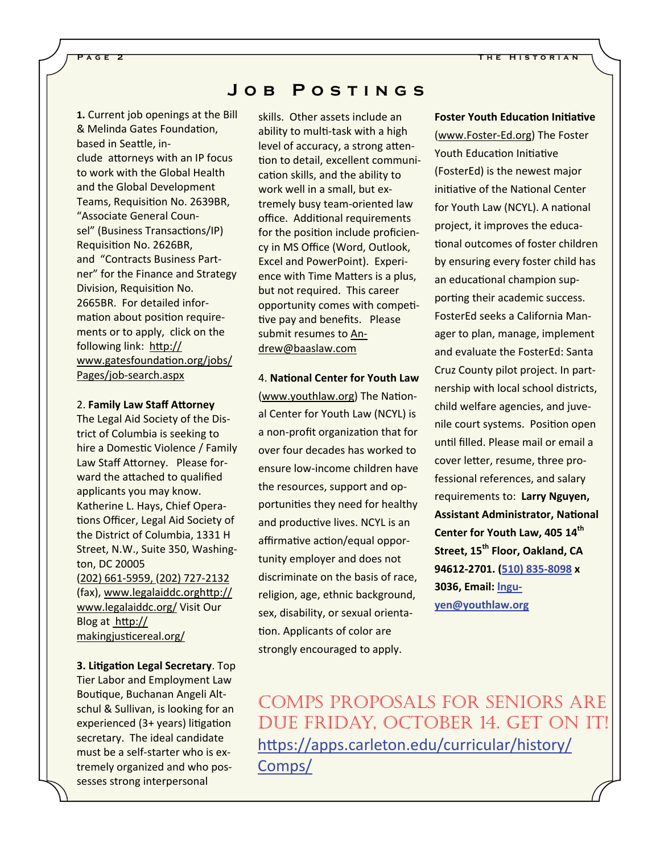**1.** Current job openings at the Bill & Melinda Gates Foundation, based in Seattle, include attorneys with an IP focus to work with the Global Health and the Global Development Teams, Requisition No. 2639BR, "Associate General Counsel" (Business Transactions/IP) Requisition No. 2626BR, and "Contracts Business Partner" for the Finance and Strategy Division, Requisition No. 2665BR. For detailed information about position requirements or to apply, click on the following link: htt[p://](http://www.gatesfoundation.org/jobs/Pages/job-search.aspx) [www.gatesfounda](http://www.gatesfoundation.org/jobs/Pages/job-search.aspx)tion.org/jobs/ [Pages/job-search.aspx](http://www.gatesfoundation.org/jobs/Pages/job-search.aspx)

#### 2. **Family Law Staff AƩorney**

The Legal Aid Society of the District of Columbia is seeking to hire a Domestic Violence / Family Law Staff Attorney. Please forward the attached to qualified applicants you may know. Katherine L. Hays, Chief Operations Officer, Legal Aid Society of the District of Columbia, 1331 H Street, N.W., Suite 350, Washington, DC 20005 (202) 661-5959, (202) 727-2132 (fax), [www.legalaiddc.orgh](http://www.legalaiddc.orghttp/www.legalaiddc.org/)Ʃp:// [www.legalaiddc.org/](http://www.legalaiddc.orghttp/www.legalaiddc.org/) Visit Our Blog at htt[p://](http://makingjusticereal.org/) makingjusti[cereal.org/](http://makingjusticereal.org/)

**3. LiƟgaƟon Legal Secretary**. Top Tier Labor and Employment Law Boutique, Buchanan Angeli Altschul & Sullivan, is looking for an experienced (3+ years) litigation secretary. The ideal candidate must be a self-starter who is extremely organized and who possesses strong interpersonal

# **Job Postings**

skills. Other assets include an ability to multi-task with a high level of accuracy, a strong attention to detail, excellent communication skills, and the ability to work well in a small, but extremely busy team-oriented law office. Additional requirements for the position include proficiency in MS Office (Word, Outlook, Excel and PowerPoint). Experience with Time Matters is a plus, but not required. This career opportunity comes with competitive pay and benefits. Please submit resumes to [An](mailto:Andrew@baaslaw.com)[drew@baaslaw.com](mailto:Andrew@baaslaw.com)

4. **NaƟonal Center for Youth Law** ([www.youthlaw.org](http://www.youthlaw.org/)) The National Center for Youth Law (NCYL) is a non-profit organization that for over four decades has worked to ensure low-income children have the resources, support and opportunities they need for healthy and productive lives. NCYL is an affirmative action/equal opportunity employer and does not discriminate on the basis of race, religion, age, ethnic background, sex, disability, or sexual orientation. Applicants of color are strongly encouraged to apply.

*<u><b>Foster Youth Education Initiative*</u> ([www.Foster-Ed.org](http://www.foster-ed.org/)) The Foster Youth Education Initiative (FosterEd) is the newest major initiative of the National Center for Youth Law (NCYL). A national project, it improves the educational outcomes of foster children by ensuring every foster child has an educational champion supporting their academic success. FosterEd seeks a California Manager to plan, manage, implement and evaluate the FosterEd: Santa Cruz County pilot project. In partnership with local school districts, child welfare agencies, and juvenile court systems. Position open until filled. Please mail or email a cover letter, resume, three professional references, and salary requirements to: **Larry Nguyen, Assistant Administrator, NaƟonal Center for Youth Law, 405 14th Street, 15th Floor, Oakland, CA 94612‐2701. (510) 835‐8098 x 3036, Email: [lngu](mailto:lnguyen@youthlaw.org)‐ [yen@youthlaw.org](mailto:lnguyen@youthlaw.org)**

COMPS PROPOSALS FOR SENIORS ARE DUE FRIDAY, OCTOBER 14. GET ON IT! htt[ps://apps.carleton.edu/curricular/history/](https://apps.carleton.edu/curricular/history/Comps/) [Comps/](https://apps.carleton.edu/curricular/history/Comps/)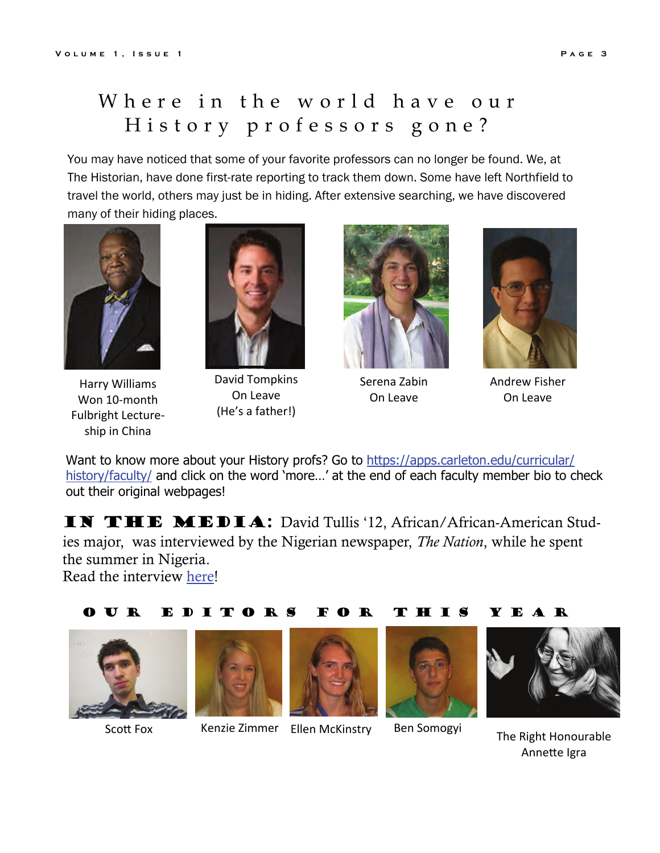# Where in the world have our History professors gone?

You may have noticed that some of your favorite professors can no longer be found. We, at The Historian, have done first-rate reporting to track them down. Some have left Northfield to travel the world, others may just be in hiding. After extensive searching, we have discovered many of their hiding places.



Harry Williams Won 10-month Fulbright Lectureship in China



David Tompkins On Leave (He's a father!)



Serena Zabin On Leave



Andrew Fisher On Leave

Want to know more about your History profs? Go to [https://apps.carleton.edu/curricular/](https://apps.carleton.edu/curricular/history/faculty/) [history/faculty/](https://apps.carleton.edu/curricular/history/faculty/) and click on the word 'more...' at the end of each faculty member bio to check out their original webpages!

IN THE MEDIA: David Tullis '12, African/African-American Studies major, was interviewed by the Nigerian newspaper, *The Nation*, while he spent the summer in Nigeria. Read the interview [here!](http://www.thenationonlineng.net/2011/index.php/arts/life-midweek-magazine/18579-%E2%80%98fela-ignited-my-interest-in-nigeria%E2%80%99.html)

#### Our Editors For This Year





Scott Fox Kenzie Zimmer Ellen McKinstry Ben Somogyi





The Right Honourable Annette Igra